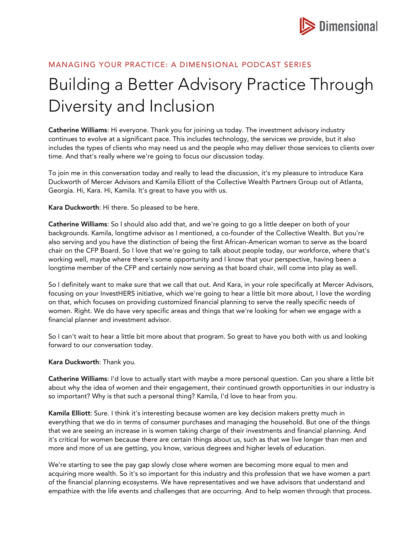

## MANAGING YOUR PRACTICE: A DIMENSIONAL PODCAST SERIES

## Building a Better Advisory Practice Through Diversity and Inclusion

Catherine Williams: Hi everyone. Thank you for joining us today. The investment advisory industry continues to evolve at a significant pace. This includes technology, the services we provide, but it also includes the types of clients who may need us and the people who may deliver those services to clients over time. And that's really where we're going to focus our discussion today.

To join me in this conversation today and really to lead the discussion, it's my pleasure to introduce Kara Duckworth of Mercer Advisors and Kamila Elliott of the Collective Wealth Partners Group out of Atlanta, Georgia. Hi, Kara. Hi, Kamila. It's great to have you with us.

Kara Duckworth: Hi there. So pleased to be here.

Catherine Williams: So I should also add that, and we're going to go a little deeper on both of your backgrounds. Kamila, longtime advisor as I mentioned, a co-founder of the Collective Wealth. But you're also serving and you have the distinction of being the first African-American woman to serve as the board chair on the CFP Board. So I love that we're going to talk about people today, our workforce, where that's working well, maybe where there's some opportunity and I know that your perspective, having been a longtime member of the CFP and certainly now serving as that board chair, will come into play as well.

So I definitely want to make sure that we call that out. And Kara, in your role specifically at Mercer Advisors, focusing on your InvestHERS initiative, which we're going to hear a little bit more about, I love the wording on that, which focuses on providing customized financial planning to serve the really specific needs of women. Right. We do have very specific areas and things that we're looking for when we engage with a financial planner and investment advisor.

So I can't wait to hear a little bit more about that program. So great to have you both with us and looking forward to our conversation today.

Kara Duckworth: Thank you.

Catherine Williams: I'd love to actually start with maybe a more personal question. Can you share a little bit about why the idea of women and their engagement, their continued growth opportunities in our industry is so important? Why is that such a personal thing? Kamila, I'd love to hear from you.

Kamila Elliott: Sure. I think it's interesting because women are key decision makers pretty much in everything that we do in terms of consumer purchases and managing the household. But one of the things that we are seeing an increase in is women taking charge of their investments and financial planning. And it's critical for women because there are certain things about us, such as that we live longer than men and more and more of us are getting, you know, various degrees and higher levels of education.

We're starting to see the pay gap slowly close where women are becoming more equal to men and acquiring more wealth. So it's so important for this industry and this profession that we have women a part of the financial planning ecosystems. We have representatives and we have advisors that understand and empathize with the life events and challenges that are occurring. And to help women through that process.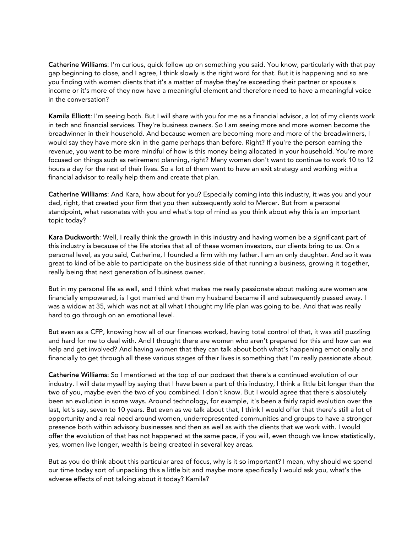Catherine Williams: I'm curious, quick follow up on something you said. You know, particularly with that pay gap beginning to close, and I agree, I think slowly is the right word for that. But it is happening and so are you finding with women clients that it's a matter of maybe they're exceeding their partner or spouse's income or it's more of they now have a meaningful element and therefore need to have a meaningful voice in the conversation?

Kamila Elliott: I'm seeing both. But I will share with you for me as a financial advisor, a lot of my clients work in tech and financial services. They're business owners. So I am seeing more and more women become the breadwinner in their household. And because women are becoming more and more of the breadwinners, I would say they have more skin in the game perhaps than before. Right? If you're the person earning the revenue, you want to be more mindful of how is this money being allocated in your household. You're more focused on things such as retirement planning, right? Many women don't want to continue to work 10 to 12 hours a day for the rest of their lives. So a lot of them want to have an exit strategy and working with a financial advisor to really help them and create that plan.

Catherine Williams: And Kara, how about for you? Especially coming into this industry, it was you and your dad, right, that created your firm that you then subsequently sold to Mercer. But from a personal standpoint, what resonates with you and what's top of mind as you think about why this is an important topic today?

Kara Duckworth: Well, I really think the growth in this industry and having women be a significant part of this industry is because of the life stories that all of these women investors, our clients bring to us. On a personal level, as you said, Catherine, I founded a firm with my father. I am an only daughter. And so it was great to kind of be able to participate on the business side of that running a business, growing it together, really being that next generation of business owner.

But in my personal life as well, and I think what makes me really passionate about making sure women are financially empowered, is I got married and then my husband became ill and subsequently passed away. I was a widow at 35, which was not at all what I thought my life plan was going to be. And that was really hard to go through on an emotional level.

But even as a CFP, knowing how all of our finances worked, having total control of that, it was still puzzling and hard for me to deal with. And I thought there are women who aren't prepared for this and how can we help and get involved? And having women that they can talk about both what's happening emotionally and financially to get through all these various stages of their lives is something that I'm really passionate about.

Catherine Williams: So I mentioned at the top of our podcast that there's a continued evolution of our industry. I will date myself by saying that I have been a part of this industry, I think a little bit longer than the two of you, maybe even the two of you combined. I don't know. But I would agree that there's absolutely been an evolution in some ways. Around technology, for example, it's been a fairly rapid evolution over the last, let's say, seven to 10 years. But even as we talk about that, I think I would offer that there's still a lot of opportunity and a real need around women, underrepresented communities and groups to have a stronger presence both within advisory businesses and then as well as with the clients that we work with. I would offer the evolution of that has not happened at the same pace, if you will, even though we know statistically, yes, women live longer, wealth is being created in several key areas.

But as you do think about this particular area of focus, why is it so important? I mean, why should we spend our time today sort of unpacking this a little bit and maybe more specifically I would ask you, what's the adverse effects of not talking about it today? Kamila?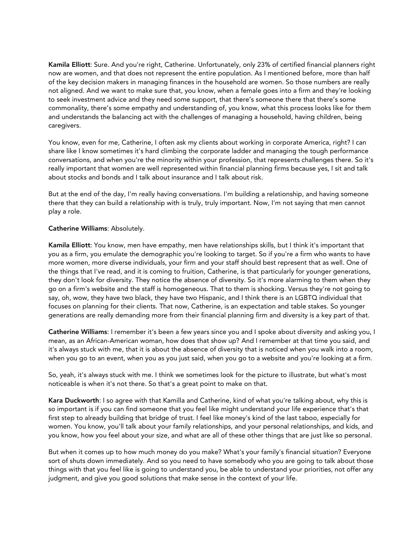Kamila Elliott: Sure. And you're right, Catherine. Unfortunately, only 23% of certified financial planners right now are women, and that does not represent the entire population. As I mentioned before, more than half of the key decision makers in managing finances in the household are women. So those numbers are really not aligned. And we want to make sure that, you know, when a female goes into a firm and they're looking to seek investment advice and they need some support, that there's someone there that there's some commonality, there's some empathy and understanding of, you know, what this process looks like for them and understands the balancing act with the challenges of managing a household, having children, being caregivers.

You know, even for me, Catherine, I often ask my clients about working in corporate America, right? I can share like I know sometimes it's hard climbing the corporate ladder and managing the tough performance conversations, and when you're the minority within your profession, that represents challenges there. So it's really important that women are well represented within financial planning firms because yes, I sit and talk about stocks and bonds and I talk about insurance and I talk about risk.

But at the end of the day, I'm really having conversations. I'm building a relationship, and having someone there that they can build a relationship with is truly, truly important. Now, I'm not saying that men cannot play a role.

## Catherine Williams: Absolutely.

Kamila Elliott: You know, men have empathy, men have relationships skills, but I think it's important that you as a firm, you emulate the demographic you're looking to target. So if you're a firm who wants to have more women, more diverse individuals, your firm and your staff should best represent that as well. One of the things that I've read, and it is coming to fruition, Catherine, is that particularly for younger generations, they don't look for diversity. They notice the absence of diversity. So it's more alarming to them when they go on a firm's website and the staff is homogeneous. That to them is shocking. Versus they're not going to say, oh, wow, they have two black, they have two Hispanic, and I think there is an LGBTQ individual that focuses on planning for their clients. That now, Catherine, is an expectation and table stakes. So younger generations are really demanding more from their financial planning firm and diversity is a key part of that.

Catherine Williams: I remember it's been a few years since you and I spoke about diversity and asking you, I mean, as an African-American woman, how does that show up? And I remember at that time you said, and it's always stuck with me, that it is about the absence of diversity that is noticed when you walk into a room, when you go to an event, when you as you just said, when you go to a website and you're looking at a firm.

So, yeah, it's always stuck with me. I think we sometimes look for the picture to illustrate, but what's most noticeable is when it's not there. So that's a great point to make on that.

Kara Duckworth: I so agree with that Kamilla and Catherine, kind of what you're talking about, why this is so important is if you can find someone that you feel like might understand your life experience that's that first step to already building that bridge of trust. I feel like money's kind of the last taboo, especially for women. You know, you'll talk about your family relationships, and your personal relationships, and kids, and you know, how you feel about your size, and what are all of these other things that are just like so personal.

But when it comes up to how much money do you make? What's your family's financial situation? Everyone sort of shuts down immediately. And so you need to have somebody who you are going to talk about those things with that you feel like is going to understand you, be able to understand your priorities, not offer any judgment, and give you good solutions that make sense in the context of your life.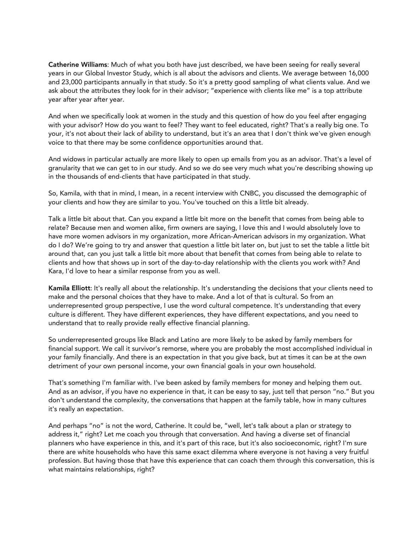Catherine Williams: Much of what you both have just described, we have been seeing for really several years in our Global Investor Study, which is all about the advisors and clients. We average between 16,000 and 23,000 participants annually in that study. So it's a pretty good sampling of what clients value. And we ask about the attributes they look for in their advisor; "experience with clients like me" is a top attribute year after year after year.

And when we specifically look at women in the study and this question of how do you feel after engaging with your advisor? How do you want to feel? They want to feel educated, right? That's a really big one. To your, it's not about their lack of ability to understand, but it's an area that I don't think we've given enough voice to that there may be some confidence opportunities around that.

And widows in particular actually are more likely to open up emails from you as an advisor. That's a level of granularity that we can get to in our study. And so we do see very much what you're describing showing up in the thousands of end-clients that have participated in that study.

So, Kamila, with that in mind, I mean, in a recent interview with CNBC, you discussed the demographic of your clients and how they are similar to you. You've touched on this a little bit already.

Talk a little bit about that. Can you expand a little bit more on the benefit that comes from being able to relate? Because men and women alike, firm owners are saying, I love this and I would absolutely love to have more women advisors in my organization, more African-American advisors in my organization. What do I do? We're going to try and answer that question a little bit later on, but just to set the table a little bit around that, can you just talk a little bit more about that benefit that comes from being able to relate to clients and how that shows up in sort of the day-to-day relationship with the clients you work with? And Kara, I'd love to hear a similar response from you as well.

Kamila Elliott: It's really all about the relationship. It's understanding the decisions that your clients need to make and the personal choices that they have to make. And a lot of that is cultural. So from an underrepresented group perspective, I use the word cultural competence. It's understanding that every culture is different. They have different experiences, they have different expectations, and you need to understand that to really provide really effective financial planning.

So underrepresented groups like Black and Latino are more likely to be asked by family members for financial support. We call it survivor's remorse, where you are probably the most accomplished individual in your family financially. And there is an expectation in that you give back, but at times it can be at the own detriment of your own personal income, your own financial goals in your own household.

That's something I'm familiar with. I've been asked by family members for money and helping them out. And as an advisor, if you have no experience in that, it can be easy to say, just tell that person "no." But you don't understand the complexity, the conversations that happen at the family table, how in many cultures it's really an expectation.

And perhaps "no" is not the word, Catherine. It could be, "well, let's talk about a plan or strategy to address it," right? Let me coach you through that conversation. And having a diverse set of financial planners who have experience in this, and it's part of this race, but it's also socioeconomic, right? I'm sure there are white households who have this same exact dilemma where everyone is not having a very fruitful profession. But having those that have this experience that can coach them through this conversation, this is what maintains relationships, right?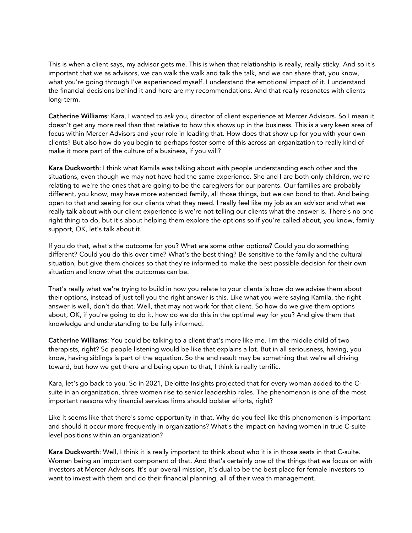This is when a client says, my advisor gets me. This is when that relationship is really, really sticky. And so it's important that we as advisors, we can walk the walk and talk the talk, and we can share that, you know, what you're going through I've experienced myself. I understand the emotional impact of it. I understand the financial decisions behind it and here are my recommendations. And that really resonates with clients long-term.

Catherine Williams: Kara, I wanted to ask you, director of client experience at Mercer Advisors. So I mean it doesn't get any more real than that relative to how this shows up in the business. This is a very keen area of focus within Mercer Advisors and your role in leading that. How does that show up for you with your own clients? But also how do you begin to perhaps foster some of this across an organization to really kind of make it more part of the culture of a business, if you will?

Kara Duckworth: I think what Kamila was talking about with people understanding each other and the situations, even though we may not have had the same experience. She and I are both only children, we're relating to we're the ones that are going to be the caregivers for our parents. Our families are probably different, you know, may have more extended family, all those things, but we can bond to that. And being open to that and seeing for our clients what they need. I really feel like my job as an advisor and what we really talk about with our client experience is we're not telling our clients what the answer is. There's no one right thing to do, but it's about helping them explore the options so if you're called about, you know, family support, OK, let's talk about it.

If you do that, what's the outcome for you? What are some other options? Could you do something different? Could you do this over time? What's the best thing? Be sensitive to the family and the cultural situation, but give them choices so that they're informed to make the best possible decision for their own situation and know what the outcomes can be.

That's really what we're trying to build in how you relate to your clients is how do we advise them about their options, instead of just tell you the right answer is this. Like what you were saying Kamila, the right answer is well, don't do that. Well, that may not work for that client. So how do we give them options about, OK, if you're going to do it, how do we do this in the optimal way for you? And give them that knowledge and understanding to be fully informed.

Catherine Williams: You could be talking to a client that's more like me. I'm the middle child of two therapists, right? So people listening would be like that explains a lot. But in all seriousness, having, you know, having siblings is part of the equation. So the end result may be something that we're all driving toward, but how we get there and being open to that, I think is really terrific.

Kara, let's go back to you. So in 2021, Deloitte Insights projected that for every woman added to the Csuite in an organization, three women rise to senior leadership roles. The phenomenon is one of the most important reasons why financial services firms should bolster efforts, right?

Like it seems like that there's some opportunity in that. Why do you feel like this phenomenon is important and should it occur more frequently in organizations? What's the impact on having women in true C-suite level positions within an organization?

Kara Duckworth: Well, I think it is really important to think about who it is in those seats in that C-suite. Women being an important component of that. And that's certainly one of the things that we focus on with investors at Mercer Advisors. It's our overall mission, it's dual to be the best place for female investors to want to invest with them and do their financial planning, all of their wealth management.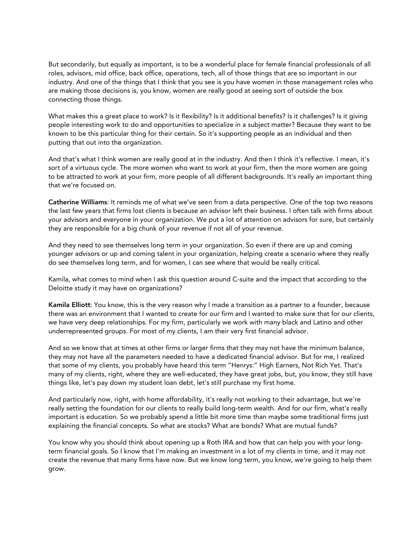But secondarily, but equally as important, is to be a wonderful place for female financial professionals of all roles, advisors, mid office, back office, operations, tech, all of those things that are so important in our industry. And one of the things that I think that you see is you have women in those management roles who are making those decisions is, you know, women are really good at seeing sort of outside the box connecting those things.

What makes this a great place to work? Is it flexibility? Is it additional benefits? Is it challenges? Is it giving people interesting work to do and opportunities to specialize in a subject matter? Because they want to be known to be this particular thing for their certain. So it's supporting people as an individual and then putting that out into the organization.

And that's what I think women are really good at in the industry. And then I think it's reflective. I mean, it's sort of a virtuous cycle. The more women who want to work at your firm, then the more women are going to be attracted to work at your firm, more people of all different backgrounds. It's really an important thing that we're focused on.

Catherine Williams: It reminds me of what we've seen from a data perspective. One of the top two reasons the last few years that firms lost clients is because an advisor left their business. I often talk with firms about your advisors and everyone in your organization. We put a lot of attention on advisors for sure, but certainly they are responsible for a big chunk of your revenue if not all of your revenue.

And they need to see themselves long term in your organization. So even if there are up and coming younger advisors or up and coming talent in your organization, helping create a scenario where they really do see themselves long term, and for women, I can see where that would be really critical.

Kamila, what comes to mind when I ask this question around C-suite and the impact that according to the Deloitte study it may have on organizations?

Kamila Elliott: You know, this is the very reason why I made a transition as a partner to a founder, because there was an environment that I wanted to create for our firm and I wanted to make sure that for our clients, we have very deep relationships. For my firm, particularly we work with many black and Latino and other underrepresented groups. For most of my clients, I am their very first financial advisor.

And so we know that at times at other firms or larger firms that they may not have the minimum balance, they may not have all the parameters needed to have a dedicated financial advisor. But for me, I realized that some of my clients, you probably have heard this term "Henrys:" High Earners, Not Rich Yet. That's many of my clients, right, where they are well-educated, they have great jobs, but, you know, they still have things like, let's pay down my student loan debt, let's still purchase my first home.

And particularly now, right, with home affordability, it's really not working to their advantage, but we're really setting the foundation for our clients to really build long-term wealth. And for our firm, what's really important is education. So we probably spend a little bit more time than maybe some traditional firms just explaining the financial concepts. So what are stocks? What are bonds? What are mutual funds?

You know why you should think about opening up a Roth IRA and how that can help you with your longterm financial goals. So I know that I'm making an investment in a lot of my clients in time, and it may not create the revenue that many firms have now. But we know long term, you know, we're going to help them grow.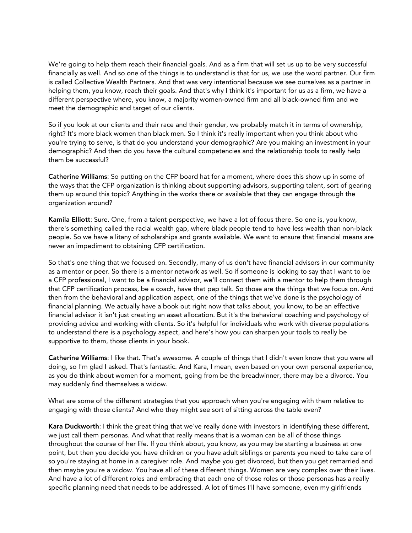We're going to help them reach their financial goals. And as a firm that will set us up to be very successful financially as well. And so one of the things is to understand is that for us, we use the word partner. Our firm is called Collective Wealth Partners. And that was very intentional because we see ourselves as a partner in helping them, you know, reach their goals. And that's why I think it's important for us as a firm, we have a different perspective where, you know, a majority women-owned firm and all black-owned firm and we meet the demographic and target of our clients.

So if you look at our clients and their race and their gender, we probably match it in terms of ownership, right? It's more black women than black men. So I think it's really important when you think about who you're trying to serve, is that do you understand your demographic? Are you making an investment in your demographic? And then do you have the cultural competencies and the relationship tools to really help them be successful?

Catherine Williams: So putting on the CFP board hat for a moment, where does this show up in some of the ways that the CFP organization is thinking about supporting advisors, supporting talent, sort of gearing them up around this topic? Anything in the works there or available that they can engage through the organization around?

Kamila Elliott: Sure. One, from a talent perspective, we have a lot of focus there. So one is, you know, there's something called the racial wealth gap, where black people tend to have less wealth than non-black people. So we have a litany of scholarships and grants available. We want to ensure that financial means are never an impediment to obtaining CFP certification.

So that's one thing that we focused on. Secondly, many of us don't have financial advisors in our community as a mentor or peer. So there is a mentor network as well. So if someone is looking to say that I want to be a CFP professional, I want to be a financial advisor, we'll connect them with a mentor to help them through that CFP certification process, be a coach, have that pep talk. So those are the things that we focus on. And then from the behavioral and application aspect, one of the things that we've done is the psychology of financial planning. We actually have a book out right now that talks about, you know, to be an effective financial advisor it isn't just creating an asset allocation. But it's the behavioral coaching and psychology of providing advice and working with clients. So it's helpful for individuals who work with diverse populations to understand there is a psychology aspect, and here's how you can sharpen your tools to really be supportive to them, those clients in your book.

Catherine Williams: I like that. That's awesome. A couple of things that I didn't even know that you were all doing, so I'm glad I asked. That's fantastic. And Kara, I mean, even based on your own personal experience, as you do think about women for a moment, going from be the breadwinner, there may be a divorce. You may suddenly find themselves a widow.

What are some of the different strategies that you approach when you're engaging with them relative to engaging with those clients? And who they might see sort of sitting across the table even?

Kara Duckworth: I think the great thing that we've really done with investors in identifying these different, we just call them personas. And what that really means that is a woman can be all of those things throughout the course of her life. If you think about, you know, as you may be starting a business at one point, but then you decide you have children or you have adult siblings or parents you need to take care of so you're staying at home in a caregiver role. And maybe you get divorced, but then you get remarried and then maybe you're a widow. You have all of these different things. Women are very complex over their lives. And have a lot of different roles and embracing that each one of those roles or those personas has a really specific planning need that needs to be addressed. A lot of times I'll have someone, even my girlfriends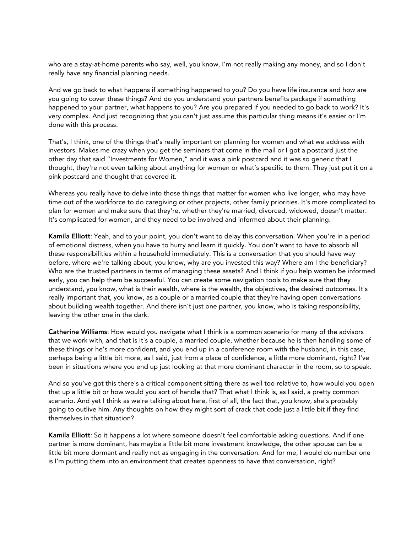who are a stay-at-home parents who say, well, you know, I'm not really making any money, and so I don't really have any financial planning needs.

And we go back to what happens if something happened to you? Do you have life insurance and how are you going to cover these things? And do you understand your partners benefits package if something happened to your partner, what happens to you? Are you prepared if you needed to go back to work? It's very complex. And just recognizing that you can't just assume this particular thing means it's easier or I'm done with this process.

That's, I think, one of the things that's really important on planning for women and what we address with investors. Makes me crazy when you get the seminars that come in the mail or I got a postcard just the other day that said "Investments for Women," and it was a pink postcard and it was so generic that I thought, they're not even talking about anything for women or what's specific to them. They just put it on a pink postcard and thought that covered it.

Whereas you really have to delve into those things that matter for women who live longer, who may have time out of the workforce to do caregiving or other projects, other family priorities. It's more complicated to plan for women and make sure that they're, whether they're married, divorced, widowed, doesn't matter. It's complicated for women, and they need to be involved and informed about their planning.

Kamila Elliott: Yeah, and to your point, you don't want to delay this conversation. When you're in a period of emotional distress, when you have to hurry and learn it quickly. You don't want to have to absorb all these responsibilities within a household immediately. This is a conversation that you should have way before, where we're talking about, you know, why are you invested this way? Where am I the beneficiary? Who are the trusted partners in terms of managing these assets? And I think if you help women be informed early, you can help them be successful. You can create some navigation tools to make sure that they understand, you know, what is their wealth, where is the wealth, the objectives, the desired outcomes. It's really important that, you know, as a couple or a married couple that they're having open conversations about building wealth together. And there isn't just one partner, you know, who is taking responsibility, leaving the other one in the dark.

Catherine Williams: How would you navigate what I think is a common scenario for many of the advisors that we work with, and that is it's a couple, a married couple, whether because he is then handling some of these things or he's more confident, and you end up in a conference room with the husband, in this case, perhaps being a little bit more, as I said, just from a place of confidence, a little more dominant, right? I've been in situations where you end up just looking at that more dominant character in the room, so to speak.

And so you've got this there's a critical component sitting there as well too relative to, how would you open that up a little bit or how would you sort of handle that? That what I think is, as I said, a pretty common scenario. And yet I think as we're talking about here, first of all, the fact that, you know, she's probably going to outlive him. Any thoughts on how they might sort of crack that code just a little bit if they find themselves in that situation?

Kamila Elliott: So it happens a lot where someone doesn't feel comfortable asking questions. And if one partner is more dominant, has maybe a little bit more investment knowledge, the other spouse can be a little bit more dormant and really not as engaging in the conversation. And for me, I would do number one is I'm putting them into an environment that creates openness to have that conversation, right?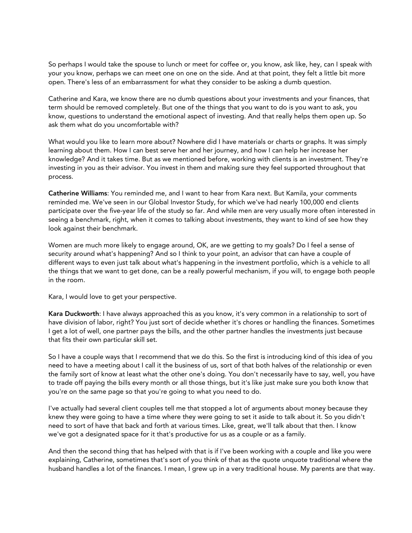So perhaps I would take the spouse to lunch or meet for coffee or, you know, ask like, hey, can I speak with your you know, perhaps we can meet one on one on the side. And at that point, they felt a little bit more open. There's less of an embarrassment for what they consider to be asking a dumb question.

Catherine and Kara, we know there are no dumb questions about your investments and your finances, that term should be removed completely. But one of the things that you want to do is you want to ask, you know, questions to understand the emotional aspect of investing. And that really helps them open up. So ask them what do you uncomfortable with?

What would you like to learn more about? Nowhere did I have materials or charts or graphs. It was simply learning about them. How I can best serve her and her journey, and how I can help her increase her knowledge? And it takes time. But as we mentioned before, working with clients is an investment. They're investing in you as their advisor. You invest in them and making sure they feel supported throughout that process.

Catherine Williams: You reminded me, and I want to hear from Kara next. But Kamila, your comments reminded me. We've seen in our Global Investor Study, for which we've had nearly 100,000 end clients participate over the five-year life of the study so far. And while men are very usually more often interested in seeing a benchmark, right, when it comes to talking about investments, they want to kind of see how they look against their benchmark.

Women are much more likely to engage around, OK, are we getting to my goals? Do I feel a sense of security around what's happening? And so I think to your point, an advisor that can have a couple of different ways to even just talk about what's happening in the investment portfolio, which is a vehicle to all the things that we want to get done, can be a really powerful mechanism, if you will, to engage both people in the room.

Kara, I would love to get your perspective.

Kara Duckworth: I have always approached this as you know, it's very common in a relationship to sort of have division of labor, right? You just sort of decide whether it's chores or handling the finances. Sometimes I get a lot of well, one partner pays the bills, and the other partner handles the investments just because that fits their own particular skill set.

So I have a couple ways that I recommend that we do this. So the first is introducing kind of this idea of you need to have a meeting about I call it the business of us, sort of that both halves of the relationship or even the family sort of know at least what the other one's doing. You don't necessarily have to say, well, you have to trade off paying the bills every month or all those things, but it's like just make sure you both know that you're on the same page so that you're going to what you need to do.

I've actually had several client couples tell me that stopped a lot of arguments about money because they knew they were going to have a time where they were going to set it aside to talk about it. So you didn't need to sort of have that back and forth at various times. Like, great, we'll talk about that then. I know we've got a designated space for it that's productive for us as a couple or as a family.

And then the second thing that has helped with that is if I've been working with a couple and like you were explaining, Catherine, sometimes that's sort of you think of that as the quote unquote traditional where the husband handles a lot of the finances. I mean, I grew up in a very traditional house. My parents are that way.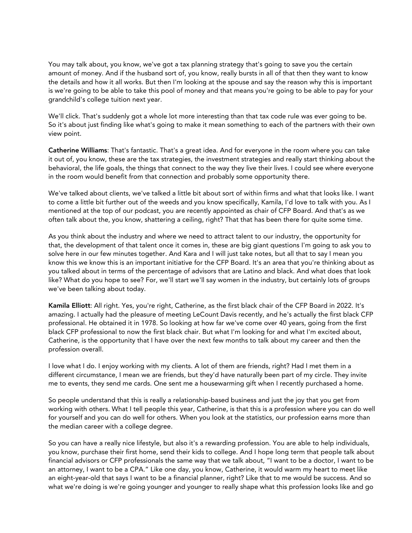You may talk about, you know, we've got a tax planning strategy that's going to save you the certain amount of money. And if the husband sort of, you know, really bursts in all of that then they want to know the details and how it all works. But then I'm looking at the spouse and say the reason why this is important is we're going to be able to take this pool of money and that means you're going to be able to pay for your grandchild's college tuition next year.

We'll click. That's suddenly got a whole lot more interesting than that tax code rule was ever going to be. So it's about just finding like what's going to make it mean something to each of the partners with their own view point.

Catherine Williams: That's fantastic. That's a great idea. And for everyone in the room where you can take it out of, you know, these are the tax strategies, the investment strategies and really start thinking about the behavioral, the life goals, the things that connect to the way they live their lives. I could see where everyone in the room would benefit from that connection and probably some opportunity there.

We've talked about clients, we've talked a little bit about sort of within firms and what that looks like. I want to come a little bit further out of the weeds and you know specifically, Kamila, I'd love to talk with you. As I mentioned at the top of our podcast, you are recently appointed as chair of CFP Board. And that's as we often talk about the, you know, shattering a ceiling, right? That that has been there for quite some time.

As you think about the industry and where we need to attract talent to our industry, the opportunity for that, the development of that talent once it comes in, these are big giant questions I'm going to ask you to solve here in our few minutes together. And Kara and I will just take notes, but all that to say I mean you know this we know this is an important initiative for the CFP Board. It's an area that you're thinking about as you talked about in terms of the percentage of advisors that are Latino and black. And what does that look like? What do you hope to see? For, we'll start we'll say women in the industry, but certainly lots of groups we've been talking about today.

Kamila Elliott: All right. Yes, you're right, Catherine, as the first black chair of the CFP Board in 2022. It's amazing. I actually had the pleasure of meeting LeCount Davis recently, and he's actually the first black CFP professional. He obtained it in 1978. So looking at how far we've come over 40 years, going from the first black CFP professional to now the first black chair. But what I'm looking for and what I'm excited about, Catherine, is the opportunity that I have over the next few months to talk about my career and then the profession overall.

I love what I do. I enjoy working with my clients. A lot of them are friends, right? Had I met them in a different circumstance, I mean we are friends, but they'd have naturally been part of my circle. They invite me to events, they send me cards. One sent me a housewarming gift when I recently purchased a home.

So people understand that this is really a relationship-based business and just the joy that you get from working with others. What I tell people this year, Catherine, is that this is a profession where you can do well for yourself and you can do well for others. When you look at the statistics, our profession earns more than the median career with a college degree.

So you can have a really nice lifestyle, but also it's a rewarding profession. You are able to help individuals, you know, purchase their first home, send their kids to college. And I hope long term that people talk about financial advisors or CFP professionals the same way that we talk about, "I want to be a doctor, I want to be an attorney, I want to be a CPA." Like one day, you know, Catherine, it would warm my heart to meet like an eight-year-old that says I want to be a financial planner, right? Like that to me would be success. And so what we're doing is we're going younger and younger to really shape what this profession looks like and go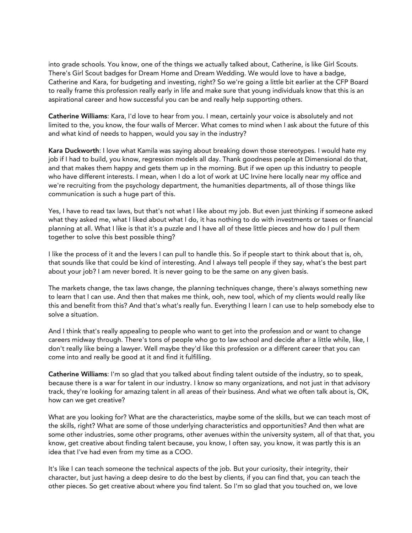into grade schools. You know, one of the things we actually talked about, Catherine, is like Girl Scouts. There's Girl Scout badges for Dream Home and Dream Wedding. We would love to have a badge, Catherine and Kara, for budgeting and investing, right? So we're going a little bit earlier at the CFP Board to really frame this profession really early in life and make sure that young individuals know that this is an aspirational career and how successful you can be and really help supporting others.

Catherine Williams: Kara, I'd love to hear from you. I mean, certainly your voice is absolutely and not limited to the, you know, the four walls of Mercer. What comes to mind when I ask about the future of this and what kind of needs to happen, would you say in the industry?

Kara Duckworth: I love what Kamila was saying about breaking down those stereotypes. I would hate my job if I had to build, you know, regression models all day. Thank goodness people at Dimensional do that, and that makes them happy and gets them up in the morning. But if we open up this industry to people who have different interests. I mean, when I do a lot of work at UC Irvine here locally near my office and we're recruiting from the psychology department, the humanities departments, all of those things like communication is such a huge part of this.

Yes, I have to read tax laws, but that's not what I like about my job. But even just thinking if someone asked what they asked me, what I liked about what I do, it has nothing to do with investments or taxes or financial planning at all. What I like is that it's a puzzle and I have all of these little pieces and how do I pull them together to solve this best possible thing?

I like the process of it and the levers I can pull to handle this. So if people start to think about that is, oh, that sounds like that could be kind of interesting. And I always tell people if they say, what's the best part about your job? I am never bored. It is never going to be the same on any given basis.

The markets change, the tax laws change, the planning techniques change, there's always something new to learn that I can use. And then that makes me think, ooh, new tool, which of my clients would really like this and benefit from this? And that's what's really fun. Everything I learn I can use to help somebody else to solve a situation.

And I think that's really appealing to people who want to get into the profession and or want to change careers midway through. There's tons of people who go to law school and decide after a little while, like, I don't really like being a lawyer. Well maybe they'd like this profession or a different career that you can come into and really be good at it and find it fulfilling.

Catherine Williams: I'm so glad that you talked about finding talent outside of the industry, so to speak, because there is a war for talent in our industry. I know so many organizations, and not just in that advisory track, they're looking for amazing talent in all areas of their business. And what we often talk about is, OK, how can we get creative?

What are you looking for? What are the characteristics, maybe some of the skills, but we can teach most of the skills, right? What are some of those underlying characteristics and opportunities? And then what are some other industries, some other programs, other avenues within the university system, all of that that, you know, get creative about finding talent because, you know, I often say, you know, it was partly this is an idea that I've had even from my time as a COO.

It's like I can teach someone the technical aspects of the job. But your curiosity, their integrity, their character, but just having a deep desire to do the best by clients, if you can find that, you can teach the other pieces. So get creative about where you find talent. So I'm so glad that you touched on, we love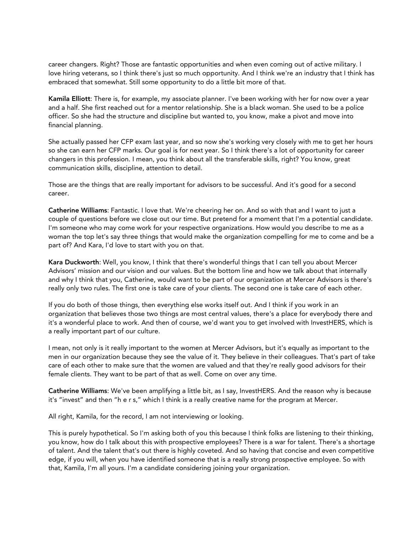career changers. Right? Those are fantastic opportunities and when even coming out of active military. I love hiring veterans, so I think there's just so much opportunity. And I think we're an industry that I think has embraced that somewhat. Still some opportunity to do a little bit more of that.

Kamila Elliott: There is, for example, my associate planner. I've been working with her for now over a year and a half. She first reached out for a mentor relationship. She is a black woman. She used to be a police officer. So she had the structure and discipline but wanted to, you know, make a pivot and move into financial planning.

She actually passed her CFP exam last year, and so now she's working very closely with me to get her hours so she can earn her CFP marks. Our goal is for next year. So I think there's a lot of opportunity for career changers in this profession. I mean, you think about all the transferable skills, right? You know, great communication skills, discipline, attention to detail.

Those are the things that are really important for advisors to be successful. And it's good for a second career.

Catherine Williams: Fantastic. I love that. We're cheering her on. And so with that and I want to just a couple of questions before we close out our time. But pretend for a moment that I'm a potential candidate. I'm someone who may come work for your respective organizations. How would you describe to me as a woman the top let's say three things that would make the organization compelling for me to come and be a part of? And Kara, I'd love to start with you on that.

Kara Duckworth: Well, you know, I think that there's wonderful things that I can tell you about Mercer Advisors' mission and our vision and our values. But the bottom line and how we talk about that internally and why I think that you, Catherine, would want to be part of our organization at Mercer Advisors is there's really only two rules. The first one is take care of your clients. The second one is take care of each other.

If you do both of those things, then everything else works itself out. And I think if you work in an organization that believes those two things are most central values, there's a place for everybody there and it's a wonderful place to work. And then of course, we'd want you to get involved with InvestHERS, which is a really important part of our culture.

I mean, not only is it really important to the women at Mercer Advisors, but it's equally as important to the men in our organization because they see the value of it. They believe in their colleagues. That's part of take care of each other to make sure that the women are valued and that they're really good advisors for their female clients. They want to be part of that as well. Come on over any time.

Catherine Williams: We've been amplifying a little bit, as I say, InvestHERS. And the reason why is because it's "invest" and then "h e r s," which I think is a really creative name for the program at Mercer.

All right, Kamila, for the record, I am not interviewing or looking.

This is purely hypothetical. So I'm asking both of you this because I think folks are listening to their thinking, you know, how do I talk about this with prospective employees? There is a war for talent. There's a shortage of talent. And the talent that's out there is highly coveted. And so having that concise and even competitive edge, if you will, when you have identified someone that is a really strong prospective employee. So with that, Kamila, I'm all yours. I'm a candidate considering joining your organization.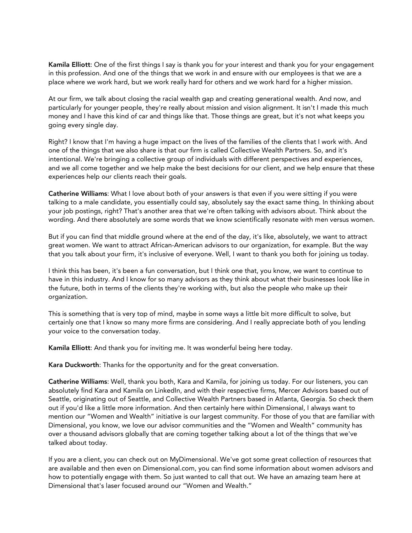Kamila Elliott: One of the first things I say is thank you for your interest and thank you for your engagement in this profession. And one of the things that we work in and ensure with our employees is that we are a place where we work hard, but we work really hard for others and we work hard for a higher mission.

At our firm, we talk about closing the racial wealth gap and creating generational wealth. And now, and particularly for younger people, they're really about mission and vision alignment. It isn't I made this much money and I have this kind of car and things like that. Those things are great, but it's not what keeps you going every single day.

Right? I know that I'm having a huge impact on the lives of the families of the clients that I work with. And one of the things that we also share is that our firm is called Collective Wealth Partners. So, and it's intentional. We're bringing a collective group of individuals with different perspectives and experiences, and we all come together and we help make the best decisions for our client, and we help ensure that these experiences help our clients reach their goals.

Catherine Williams: What I love about both of your answers is that even if you were sitting if you were talking to a male candidate, you essentially could say, absolutely say the exact same thing. In thinking about your job postings, right? That's another area that we're often talking with advisors about. Think about the wording. And there absolutely are some words that we know scientifically resonate with men versus women.

But if you can find that middle ground where at the end of the day, it's like, absolutely, we want to attract great women. We want to attract African-American advisors to our organization, for example. But the way that you talk about your firm, it's inclusive of everyone. Well, I want to thank you both for joining us today.

I think this has been, it's been a fun conversation, but I think one that, you know, we want to continue to have in this industry. And I know for so many advisors as they think about what their businesses look like in the future, both in terms of the clients they're working with, but also the people who make up their organization.

This is something that is very top of mind, maybe in some ways a little bit more difficult to solve, but certainly one that I know so many more firms are considering. And I really appreciate both of you lending your voice to the conversation today.

Kamila Elliott: And thank you for inviting me. It was wonderful being here today.

Kara Duckworth: Thanks for the opportunity and for the great conversation.

Catherine Williams: Well, thank you both, Kara and Kamila, for joining us today. For our listeners, you can absolutely find Kara and Kamila on LinkedIn, and with their respective firms, Mercer Advisors based out of Seattle, originating out of Seattle, and Collective Wealth Partners based in Atlanta, Georgia. So check them out if you'd like a little more information. And then certainly here within Dimensional, I always want to mention our "Women and Wealth" initiative is our largest community. For those of you that are familiar with Dimensional, you know, we love our advisor communities and the "Women and Wealth" community has over a thousand advisors globally that are coming together talking about a lot of the things that we've talked about today.

If you are a client, you can check out on MyDimensional. We've got some great collection of resources that are available and then even on Dimensional.com, you can find some information about women advisors and how to potentially engage with them. So just wanted to call that out. We have an amazing team here at Dimensional that's laser focused around our "Women and Wealth."